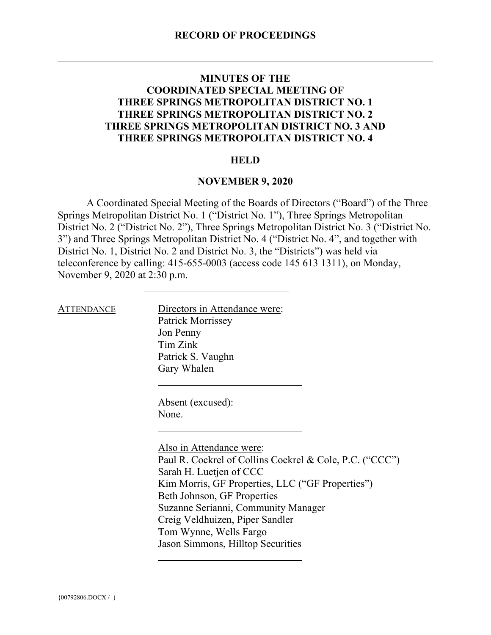## **MINUTES OF THE COORDINATED SPECIAL MEETING OF THREE SPRINGS METROPOLITAN DISTRICT NO. 1 THREE SPRINGS METROPOLITAN DISTRICT NO. 2 THREE SPRINGS METROPOLITAN DISTRICT NO. 3 AND THREE SPRINGS METROPOLITAN DISTRICT NO. 4**

### **HELD**

### **NOVEMBER 9, 2020**

A Coordinated Special Meeting of the Boards of Directors ("Board") of the Three Springs Metropolitan District No. 1 ("District No. 1"), Three Springs Metropolitan District No. 2 ("District No. 2"), Three Springs Metropolitan District No. 3 ("District No. 3") and Three Springs Metropolitan District No. 4 ("District No. 4", and together with District No. 1, District No. 2 and District No. 3, the "Districts") was held via teleconference by calling: 415-655-0003 (access code 145 613 1311), on Monday, November 9, 2020 at 2:30 p.m.

ATTENDANCE Directors in Attendance were: Patrick Morrissey Jon Penny Tim Zink Patrick S. Vaughn Gary Whalen

> Absent (excused): None.

Also in Attendance were: Paul R. Cockrel of Collins Cockrel & Cole, P.C. ("CCC") Sarah H. Luetjen of CCC Kim Morris, GF Properties, LLC ("GF Properties") Beth Johnson, GF Properties Suzanne Serianni, Community Manager Creig Veldhuizen, Piper Sandler Tom Wynne, Wells Fargo Jason Simmons, Hilltop Securities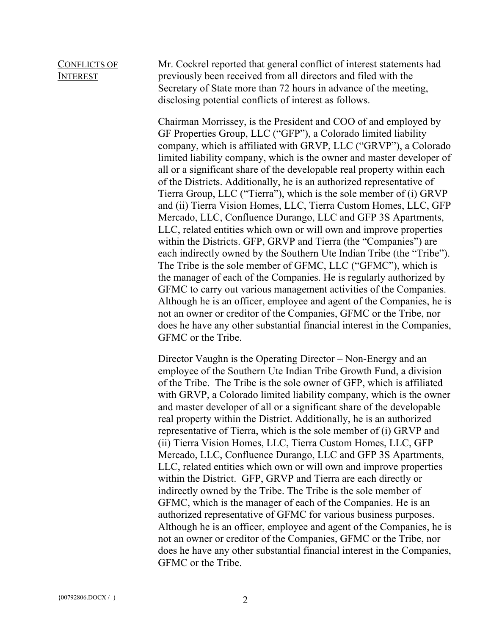### CONFLICTS OF INTEREST

Mr. Cockrel reported that general conflict of interest statements had previously been received from all directors and filed with the Secretary of State more than 72 hours in advance of the meeting, disclosing potential conflicts of interest as follows.

Chairman Morrissey, is the President and COO of and employed by GF Properties Group, LLC ("GFP"), a Colorado limited liability company, which is affiliated with GRVP, LLC ("GRVP"), a Colorado limited liability company, which is the owner and master developer of all or a significant share of the developable real property within each of the Districts. Additionally, he is an authorized representative of Tierra Group, LLC ("Tierra"), which is the sole member of (i) GRVP and (ii) Tierra Vision Homes, LLC, Tierra Custom Homes, LLC, GFP Mercado, LLC, Confluence Durango, LLC and GFP 3S Apartments, LLC, related entities which own or will own and improve properties within the Districts. GFP, GRVP and Tierra (the "Companies") are each indirectly owned by the Southern Ute Indian Tribe (the "Tribe"). The Tribe is the sole member of GFMC, LLC ("GFMC"), which is the manager of each of the Companies. He is regularly authorized by GFMC to carry out various management activities of the Companies. Although he is an officer, employee and agent of the Companies, he is not an owner or creditor of the Companies, GFMC or the Tribe, nor does he have any other substantial financial interest in the Companies, GFMC or the Tribe.

Director Vaughn is the Operating Director – Non-Energy and an employee of the Southern Ute Indian Tribe Growth Fund, a division of the Tribe. The Tribe is the sole owner of GFP, which is affiliated with GRVP, a Colorado limited liability company, which is the owner and master developer of all or a significant share of the developable real property within the District. Additionally, he is an authorized representative of Tierra, which is the sole member of (i) GRVP and (ii) Tierra Vision Homes, LLC, Tierra Custom Homes, LLC, GFP Mercado, LLC, Confluence Durango, LLC and GFP 3S Apartments, LLC, related entities which own or will own and improve properties within the District. GFP, GRVP and Tierra are each directly or indirectly owned by the Tribe. The Tribe is the sole member of GFMC, which is the manager of each of the Companies. He is an authorized representative of GFMC for various business purposes. Although he is an officer, employee and agent of the Companies, he is not an owner or creditor of the Companies, GFMC or the Tribe, nor does he have any other substantial financial interest in the Companies, GFMC or the Tribe.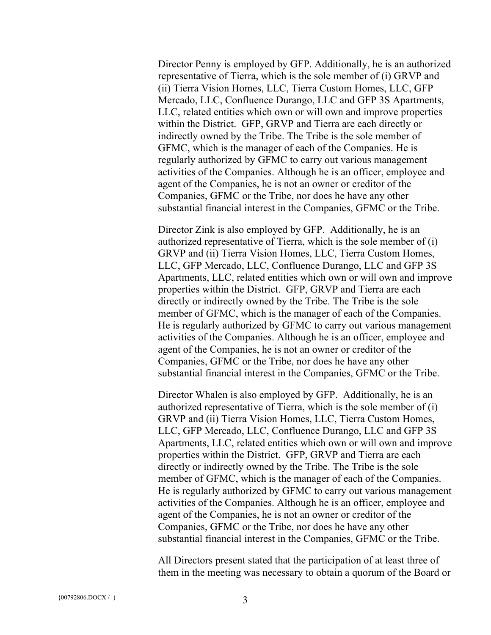Director Penny is employed by GFP. Additionally, he is an authorized representative of Tierra, which is the sole member of (i) GRVP and (ii) Tierra Vision Homes, LLC, Tierra Custom Homes, LLC, GFP Mercado, LLC, Confluence Durango, LLC and GFP 3S Apartments, LLC, related entities which own or will own and improve properties within the District. GFP, GRVP and Tierra are each directly or indirectly owned by the Tribe. The Tribe is the sole member of GFMC, which is the manager of each of the Companies. He is regularly authorized by GFMC to carry out various management activities of the Companies. Although he is an officer, employee and agent of the Companies, he is not an owner or creditor of the Companies, GFMC or the Tribe, nor does he have any other substantial financial interest in the Companies, GFMC or the Tribe.

Director Zink is also employed by GFP. Additionally, he is an authorized representative of Tierra, which is the sole member of (i) GRVP and (ii) Tierra Vision Homes, LLC, Tierra Custom Homes, LLC, GFP Mercado, LLC, Confluence Durango, LLC and GFP 3S Apartments, LLC, related entities which own or will own and improve properties within the District. GFP, GRVP and Tierra are each directly or indirectly owned by the Tribe. The Tribe is the sole member of GFMC, which is the manager of each of the Companies. He is regularly authorized by GFMC to carry out various management activities of the Companies. Although he is an officer, employee and agent of the Companies, he is not an owner or creditor of the Companies, GFMC or the Tribe, nor does he have any other substantial financial interest in the Companies, GFMC or the Tribe.

Director Whalen is also employed by GFP. Additionally, he is an authorized representative of Tierra, which is the sole member of (i) GRVP and (ii) Tierra Vision Homes, LLC, Tierra Custom Homes, LLC, GFP Mercado, LLC, Confluence Durango, LLC and GFP 3S Apartments, LLC, related entities which own or will own and improve properties within the District. GFP, GRVP and Tierra are each directly or indirectly owned by the Tribe. The Tribe is the sole member of GFMC, which is the manager of each of the Companies. He is regularly authorized by GFMC to carry out various management activities of the Companies. Although he is an officer, employee and agent of the Companies, he is not an owner or creditor of the Companies, GFMC or the Tribe, nor does he have any other substantial financial interest in the Companies, GFMC or the Tribe.

All Directors present stated that the participation of at least three of them in the meeting was necessary to obtain a quorum of the Board or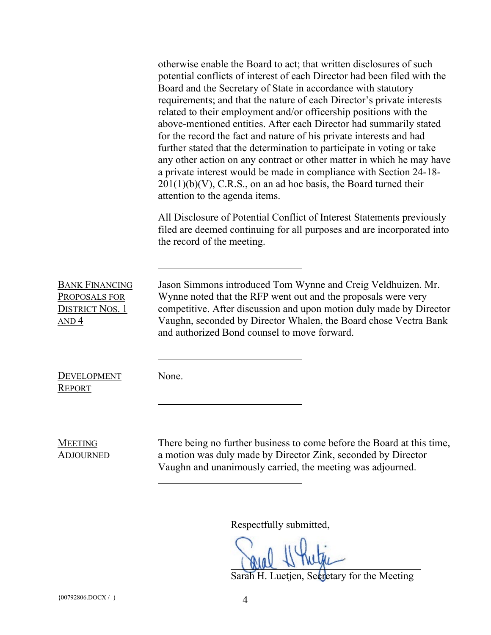|                                                                                      | otherwise enable the Board to act; that written disclosures of such<br>potential conflicts of interest of each Director had been filed with the<br>Board and the Secretary of State in accordance with statutory<br>requirements; and that the nature of each Director's private interests<br>related to their employment and/or officership positions with the<br>above-mentioned entities. After each Director had summarily stated<br>for the record the fact and nature of his private interests and had<br>further stated that the determination to participate in voting or take<br>any other action on any contract or other matter in which he may have<br>a private interest would be made in compliance with Section 24-18-<br>$201(1)(b)(V)$ , C.R.S., on an ad hoc basis, the Board turned their<br>attention to the agenda items. |
|--------------------------------------------------------------------------------------|------------------------------------------------------------------------------------------------------------------------------------------------------------------------------------------------------------------------------------------------------------------------------------------------------------------------------------------------------------------------------------------------------------------------------------------------------------------------------------------------------------------------------------------------------------------------------------------------------------------------------------------------------------------------------------------------------------------------------------------------------------------------------------------------------------------------------------------------|
|                                                                                      | All Disclosure of Potential Conflict of Interest Statements previously<br>filed are deemed continuing for all purposes and are incorporated into<br>the record of the meeting.                                                                                                                                                                                                                                                                                                                                                                                                                                                                                                                                                                                                                                                                 |
| <b>BANK FINANCING</b><br>PROPOSALS FOR<br><b>DISTRICT NOS. 1</b><br>AND <sub>4</sub> | Jason Simmons introduced Tom Wynne and Creig Veldhuizen. Mr.<br>Wynne noted that the RFP went out and the proposals were very<br>competitive. After discussion and upon motion duly made by Director<br>Vaughn, seconded by Director Whalen, the Board chose Vectra Bank<br>and authorized Bond counsel to move forward.                                                                                                                                                                                                                                                                                                                                                                                                                                                                                                                       |
| <b>DEVELOPMENT</b><br><b>REPORT</b>                                                  | None.                                                                                                                                                                                                                                                                                                                                                                                                                                                                                                                                                                                                                                                                                                                                                                                                                                          |
| <b>MEETING</b><br><b>ADJOURNED</b>                                                   | There being no further business to come before the Board at this time,<br>a motion was duly made by Director Zink, seconded by Director<br>Vaughn and unanimously carried, the meeting was adjourned.                                                                                                                                                                                                                                                                                                                                                                                                                                                                                                                                                                                                                                          |

Respectfully submitted,

Sarah H. Luetjen, Secretary for the Meeting